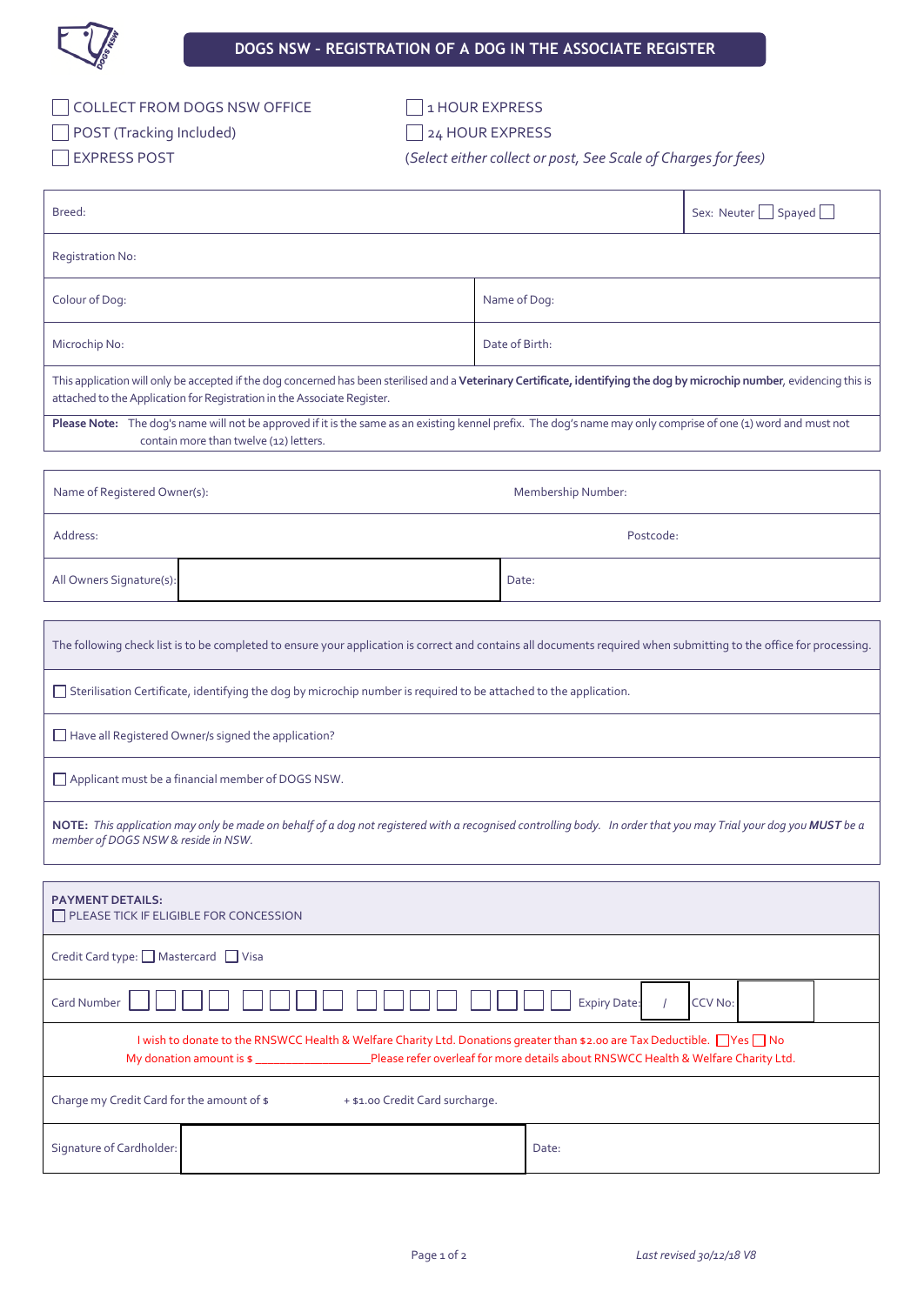

| COLLECT FROM DOGS NSW OF |  |  |  |  |  |  |  |
|--------------------------|--|--|--|--|--|--|--|
|                          |  |  |  |  |  |  |  |

FFICE 1HOUR EXPRESS

□ POST (Tracking Included) 24 HOUR EXPRESS

EXPRESS POST (*Select either collect or post, See Scale of Charges for fees)*

| Breed:                                                                                                                                                                                                                                               |                    | Sex: Neuter Spayed |  |  |  |  |
|------------------------------------------------------------------------------------------------------------------------------------------------------------------------------------------------------------------------------------------------------|--------------------|--------------------|--|--|--|--|
| <b>Registration No:</b>                                                                                                                                                                                                                              |                    |                    |  |  |  |  |
| Colour of Dog:                                                                                                                                                                                                                                       | Name of Dog:       |                    |  |  |  |  |
| Microchip No:                                                                                                                                                                                                                                        | Date of Birth:     |                    |  |  |  |  |
| This application will only be accepted if the dog concerned has been sterilised and a Veterinary Certificate, identifying the dog by microchip number, evidencing this is<br>attached to the Application for Registration in the Associate Register. |                    |                    |  |  |  |  |
| Please Note: The dog's name will not be approved if it is the same as an existing kennel prefix. The dog's name may only comprise of one (1) word and must not<br>contain more than twelve (12) letters.                                             |                    |                    |  |  |  |  |
|                                                                                                                                                                                                                                                      |                    |                    |  |  |  |  |
| Name of Registered Owner(s):                                                                                                                                                                                                                         | Membership Number: |                    |  |  |  |  |
| Address:                                                                                                                                                                                                                                             | Postcode:          |                    |  |  |  |  |
| All Owners Signature(s):                                                                                                                                                                                                                             | Date:              |                    |  |  |  |  |
|                                                                                                                                                                                                                                                      |                    |                    |  |  |  |  |
| The following check list is to be completed to ensure your application is correct and contains all documents required when submitting to the office for processing.                                                                                  |                    |                    |  |  |  |  |
| □ Sterilisation Certificate, identifying the dog by microchip number is required to be attached to the application.                                                                                                                                  |                    |                    |  |  |  |  |
| Have all Registered Owner/s signed the application?                                                                                                                                                                                                  |                    |                    |  |  |  |  |
| Applicant must be a financial member of DOGS NSW.                                                                                                                                                                                                    |                    |                    |  |  |  |  |
| NOTE: This application may only be made on behalf of a dog not registered with a recognised controlling body. In order that you may Trial your dog you MUST be a<br>member of DOGS NSW & reside in NSW.                                              |                    |                    |  |  |  |  |
|                                                                                                                                                                                                                                                      |                    |                    |  |  |  |  |
| <b>PAYMENT DETAILS:</b><br>PLEASE TICK IF ELIGIBLE FOR CONCESSION                                                                                                                                                                                    |                    |                    |  |  |  |  |
| Credit Card type: □ Mastercard □ Visa                                                                                                                                                                                                                |                    |                    |  |  |  |  |
| Card Number<br><b>Expiry Date:</b><br>CCV No:                                                                                                                                                                                                        |                    |                    |  |  |  |  |

| My donation amount is \$                   | I wish to donate to the RNSWCC Health & Welfare Charity Ltd. Donations greater than \$2.00 are Tax Deductible. Ves □No<br>Please refer overleaf for more details about RNSWCC Health & Welfare Charity Ltd. |  |
|--------------------------------------------|-------------------------------------------------------------------------------------------------------------------------------------------------------------------------------------------------------------|--|
| Charge my Credit Card for the amount of \$ | + \$1.00 Credit Card surcharge.                                                                                                                                                                             |  |
|                                            |                                                                                                                                                                                                             |  |

Signature of Cardholder: **Date:** Date: **Date:** Date: **Date:** Date: **Date:** Date: **Date:** Date: **Date:** Date: **Date: Date: Date: Date: Date: Date: Date: Date: Date: Date: Date: Date: Date: Date:**